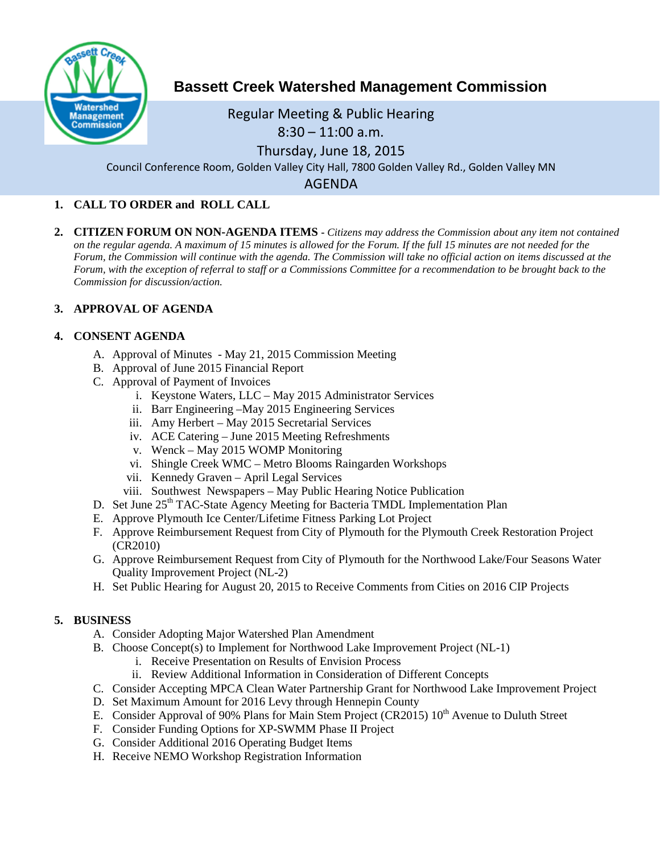

# **Bassett Creek Watershed Management Commission**

# Regular Meeting & Public Hearing

# 8:30 – 11:00 a.m.

Thursday, June 18, 2015

Council Conference Room, Golden Valley City Hall, 7800 Golden Valley Rd., Golden Valley MN

AGENDA

# **1. CALL TO ORDER and ROLL CALL**

**2. CITIZEN FORUM ON NON-AGENDA ITEMS -** *Citizens may address the Commission about any item not contained on the regular agenda. A maximum of 15 minutes is allowed for the Forum. If the full 15 minutes are not needed for the Forum, the Commission will continue with the agenda. The Commission will take no official action on items discussed at the Forum, with the exception of referral to staff or a Commissions Committee for a recommendation to be brought back to the Commission for discussion/action.*

## **3. APPROVAL OF AGENDA**

## **4. CONSENT AGENDA**

- A. Approval of Minutes May 21, 2015 Commission Meeting
- B. Approval of June 2015 Financial Report
- C. Approval of Payment of Invoices
	- i. Keystone Waters, LLC May 2015 Administrator Services
	- ii. Barr Engineering –May 2015 Engineering Services
	- iii. Amy Herbert May 2015 Secretarial Services
	- iv. ACE Catering June 2015 Meeting Refreshments
	- v. Wenck May 2015 WOMP Monitoring
	- vi. Shingle Creek WMC Metro Blooms Raingarden Workshops
	- vii. Kennedy Graven April Legal Services
	- viii. Southwest Newspapers May Public Hearing Notice Publication
- D. Set June 25<sup>th</sup> TAC-State Agency Meeting for Bacteria TMDL Implementation Plan
- E. Approve Plymouth Ice Center/Lifetime Fitness Parking Lot Project
- F. Approve Reimbursement Request from City of Plymouth for the Plymouth Creek Restoration Project (CR2010)
- G. Approve Reimbursement Request from City of Plymouth for the Northwood Lake/Four Seasons Water Quality Improvement Project (NL-2)
- H. Set Public Hearing for August 20, 2015 to Receive Comments from Cities on 2016 CIP Projects

## **5. BUSINESS**

- A. Consider Adopting Major Watershed Plan Amendment
- B. Choose Concept(s) to Implement for Northwood Lake Improvement Project (NL-1)
	- i. Receive Presentation on Results of Envision Process
	- ii. Review Additional Information in Consideration of Different Concepts
- C. Consider Accepting MPCA Clean Water Partnership Grant for Northwood Lake Improvement Project
- D. Set Maximum Amount for 2016 Levy through Hennepin County
- E. Consider Approval of 90% Plans for Main Stem Project (CR2015)  $10<sup>th</sup>$  Avenue to Duluth Street
- F. Consider Funding Options for XP-SWMM Phase II Project
- G. Consider Additional 2016 Operating Budget Items
- H. Receive NEMO Workshop Registration Information